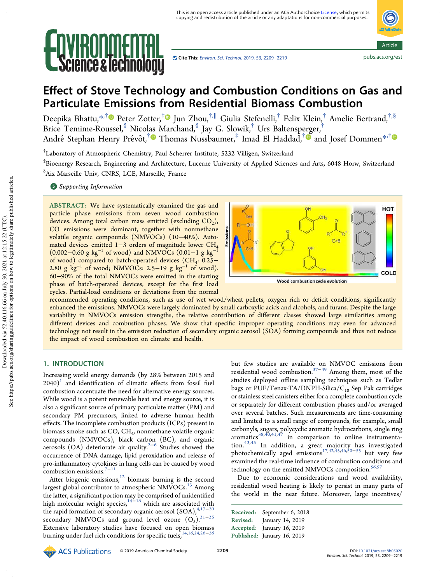



# Effect of Stove Technology and Combustion Conditions on Gas and Particulate Emissions from Residential Biomass Combustion

Deepika Bhattu,\*<sup>,†</sup>® Peter Zotter,<sup>‡</sup>® Jun Zhou,<sup>†,∥</sup> Giulia Stefenelli,<sup>†</sup> Felix Klein,† Amelie Bertrand,†,§ Brice Temime-Roussel,§ Nicolas Marchand,§ Jay G. Slowik,† Urs Baltensperger,† André Stephan Henry Prévôt,<sup>†</sup>® Thomas Nussbaumer,‡ Imad El Haddad,†® and Josef Dommen<sup>\*,†</sup>

† Laboratory of Atmospheric Chemistry, Paul Scherrer Institute, 5232 Villigen, Switzerland

‡ Bioenergy Research, Engineering and Architecture, Lucerne University of Applied Sciences and Arts, 6048 Horw, Switzerland § Aix Marseille Univ, CNRS, LCE, Marseille, France

## **S** Supporting Information

ABSTRACT: We have systematically examined the gas and particle phase emissions from seven wood combustion devices. Among total carbon mass emitted (excluding  $CO<sub>2</sub>$ ), CO emissions were dominant, together with nonmethane volatile organic compounds (NMVOCs) (10−40%). Automated devices emitted 1−3 orders of magnitude lower CH<sup>4</sup> (0.002–0.60 g kg<sup>-1</sup> of wood) and NMVOCs (0.01–1 g kg<sup>-1</sup> of wood) compared to batch-operated devices ( $\text{CH}_4$ : 0.25– 2.80 g kg<sup>-1</sup> of wood; NMVOCs: 2.5–19 g kg<sup>-1</sup> of wood). 60−90% of the total NMVOCs were emitted in the starting phase of batch-operated devices, except for the first load cycles. Partial-load conditions or deviations from the normal



recommended operating conditions, such as use of wet wood/wheat pellets, oxygen rich or deficit conditions, significantly enhanced the emissions. NMVOCs were largely dominated by small carboxylic acids and alcohols, and furans. Despite the large variability in NMVOCs emission strengths, the relative contribution of different classes showed large similarities among different devices and combustion phases. We show that specific improper operating conditions may even for advanced technology not result in the emission reduction of secondary organic aerosol (SOA) forming compounds and thus not reduce the impact of wood combustion on climate and health.

## 1. INTRODUCTION

Increasing world energy demands (by 28% between 2015 and  $(2040)^1$  and identification of climatic effects from fossil fuel combustion accentuate the need for alternative energy sources. While wood is a potent renewable heat and energy source, it is also a significant source of primary particulate matter (PM) and secondary PM precursors, linked to adverse human health effects. The incomplete combustion products (ICPs) present in biomass smoke such as  $\rm CO$ ,  $\rm CH_{4}$ , nonmethane volatile organic compounds (NMVOCs), black carbon (BC), and organic aerosols (OA) deteriorate air quality.<sup>2−6</sup> Studies showed the occurrence of DNA damage, lipid peroxidation and release of pro-inflammatory cytokines in lung cells can be caused by wood combustion emissions.7−<sup>11</sup>

After biogenic emissions, $12$  biomass burning is the second largest global contributor to atmospheric NMVOCs.<sup>13</sup> Among the latter, a significant portion may be comprised of unidentified high molecular weight species,<sup>14−16</sup> which are associated with the rapid formation of secondary organic aerosol (SOA),<sup>4,17−20</sup> secondary NMVOCs and ground level ozone  $(O_3)$ .<sup>21-25</sup> Extensive laboratory studies have focused on open biomass burning under fuel rich conditions for specific fuels,<sup>14,16,24,26</sup>

but few studies are available on NMVOC emissions from residential wood combustion.37−<sup>49</sup> Among them, most of the studies deployed offline sampling techniques such as Tedlar bags or PUF/Tenax-TA/DNPH-Silica/C<sub>18</sub> Sep Pak cartridges or stainless steel canisters either for a complete combustion cycle or separately for different combustion phases and/or averaged over several batches. Such measurements are time-consuming and limited to a small range of compounds, for example, small carbonyls, sugars, polycyclic aromatic hydrocarbons, single ring aromatics $38,40,41,47$  in comparison to online instrumentation.43,45 In addition, a great majority has investigated photochemically aged emissions<sup>17,42,45,46,50−55</sup> but very few examined the real-time influence of combustion conditions and technology on the emitted NMVOCs composition.  $56,57$ 

Due to economic considerations and wood availability, residential wood heating is likely to persist in many parts of the world in the near future. Moreover, large incentives/

| Received: | September 6, 2018           |
|-----------|-----------------------------|
| Revised:  | January 14, 2019            |
| Accepted: | January 16, 2019            |
|           | Published: January 16, 2019 |

ACS Publications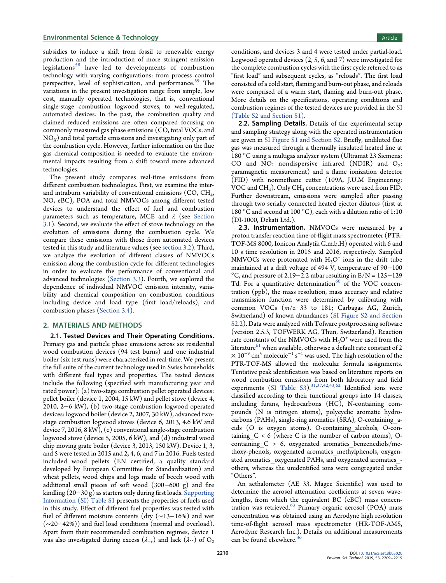## **Environmental Science & Technology Article 3 and Science & Technology Article 3 and Science Article 3 and Science Article 3 and Science Article 3 and Science Article 3 and Article 3 and Article 3 and Article 3 and Article**

subsidies to induce a shift from fossil to renewable energy production and the introduction of more stringent emission legislations<sup>58</sup> have led to developments of combustion technology with varying configurations: from process control perspective, level of sophistication, and performance.<sup>59</sup> The variations in the present investigation range from simple, low cost, manually operated technologies, that is, conventional single-stage combustion logwood stoves, to well-regulated, automated devices. In the past, the combustion quality and claimed reduced emissions are often compared focusing on commonly measured gas phase emissions (CO, total VOCs, and NO*<sup>X</sup>* ) and total particle emissions and investigating only part of the combustion cycle. However, further information on the flue gas chemical composition is needed to evaluate the environmental impacts resulting from a shift toward more advanced technologies.

The present study compares real-time emissions from different combustion technologies. First, we examine the interand intraburn variability of conventional emissions  $(\text{CO}, \text{CH}_4,$ NO, eBC), POA and total NMVOCs among different tested devices to understand the effect of fuel and combustion parameters such as temperature, MCE and  $\lambda$  (see Section 3.1). Second, we evaluate the effect of stove technology on the evolution of emissions during the combustion cycle. We compare these emissions with those from automated devices tested in this study and literature values (see section 3.2). Third, we analyze the evolution of different classes of NMVOCs emission along the combustion cycle for different technologies in order to evaluate the performance of conventional and advanced technologies (Section 3.3). Fourth, we explored the dependence of individual NMVOC emission intensity, variability and chemical composition on combustion conditions including device and load type (first load/reloads), and combustion phases (Section 3.4).

## 2. MATERIALS AND METHODS

2.1. Tested Devices and Their Operating Conditions. Primary gas and particle phase emissions across six residential wood combustion devices (94 test burns) and one industrial boiler (six test runs) were characterized in real-time. We present the full suite of the current technology used in Swiss households with different fuel types and properties. The tested devices include the following (specified with manufacturing year and rated power): (a) two-stage combustion pellet operated devices: pellet boiler (device 1, 2004, 15 kW) and pellet stove (device 4, 2010, 2−6 kW), (b) two-stage combustion logwood operated devices: logwood boiler (device 2, 2007, 30 kW), advanced twostage combustion logwood stoves (device 6, 2013, 4.6 kW and device 7, 2016, 8 kW), (c) conventional single-stage combustion logwood stove (device 5, 2005, 6 kW), and (d) industrial wood chip moving grate boiler (device 3, 2013, 150 kW). Device 1, 3, and 5 were tested in 2015 and 2, 4, 6, and 7 in 2016. Fuels tested included wood pellets (EN certified, a quality standard developed by European Committee for Standardization) and wheat pellets, wood chips and logs made of beech wood with additional small pieces of soft wood (300−600 g) and fire kindling (20−30 g) as starters only during first loads. Supporting Information (SI) Table S1 presents the properties of fuels used in this study. Effect of different fuel properties was tested with fuel of different moisture contents (dry (∼13−16%) and wet (∼20−42%)) and fuel load conditions (normal and overload). Apart from their recommended combustion regimes, device 1 was also investigated during excess  $(\lambda_{++})$  and lack  $(\lambda_{--})$  of  $O_2$ 

conditions, and devices 3 and 4 were tested under partial-load. Logwood operated devices (2, 5, 6, and 7) were investigated for the complete combustion cycles with the first cycle referred to as "first load" and subsequent cycles, as "reloads". The first load consisted of a cold start, flaming and burn-out phase, and reloads were comprised of a warm start, flaming and burn-out phase. More details on the specifications, operating conditions and combustion regimes of the tested devices are provided in the SI (Table S2 and Section S1).

2.2. Sampling Details. Details of the experimental setup and sampling strategy along with the operated instrumentation are given in SI Figure S1 and Section S2. Briefly, undiluted flue gas was measured through a thermally insulated heated line at 180 °C using a multigas analyzer system (Ultramat 23 Siemens; CO and NO: nondispersive infrared (NDIR) and  $O_2$ : paramagnetic measurement) and a flame ionization detector (FID) with nonmethane cutter (109A, J.U.M Engineering: VOC and  $CH<sub>4</sub>$ ). Only  $CH<sub>4</sub>$  concentrations were used from FID. Further downstream, emissions were sampled after passing through two serially connected heated ejector dilutors (first at 180 °C and second at 100 °C), each with a dilution ratio of 1:10 (DI-1000, Dekati Ltd.).

2.3. Instrumentation. NMVOCs were measured by a proton transfer reaction time-of-flight mass spectrometer (PTR-TOF-MS 8000, Ionicon Analytik G.m.b.H) operated with 6 and 10 s time resolution in 2015 and 2016, respectively. Sampled NMVOCs were protonated with  $H_3O^+$  ions in the drift tube maintained at a drift voltage of 494 V, temperature of 90−100  $\rm{^{\circ}C}$ , and pressure of 2.19−2.2 mbar resulting in E/N = 125−129 Td. For a quantitative determination<sup>60</sup> of the VOC concentration (ppb), the mass resolution, mass accuracy and relative transmission function were determined by calibrating with common VOCs (*m*/*z* 33 to 181; Carbagas AG, Zurich, Switzerland) of known abundances (SI Figure S2 and Section S2.2). Data were analyzed with Tofware postprocessing software (version 2.5.3, TOFWERK AG, Thun, Switzerland). Reaction rate constants of the NMVOCs with  $H_3O^+$  were used from the literature $^{61}$  when available, otherwise a default rate constant of 2  $\times$  10<sup>−9</sup> cm<sup>3</sup> molecule $^{-1}$  s $^{-1}$  was used. The high resolution of the PTR-TOF-MS allowed the molecular formula assignments. Tentative peak identification was based on literature reports on wood combustion emissions from both laboratory and field experiments (SI Table S3).  $31,37,42,43,62$  Identified ions were classified according to their functional groups into 14 classes, including furans, hydrocarbons (HC), N-containing compounds (N is nitrogen atoms), polycyclic aromatic hydrocarbons (PAHs), single-ring aromatics (SRA), O-containing\_acids (O is oxygen atoms), O-containing\_alcohols, O-containing  $C < 6$  (where C is the number of carbon atoms), Ocontaining  $C > 6$ , oxygenated aromatics benzenediols/methoxy-phenols, oxygenated aromatics\_methylphenols, oxygenated aromatics\_oxygenated PAHs, and oxygenated aromatics\_ others, whereas the unidentified ions were congregated under "Others".

An aethalometer (AE 33, Magee Scientific) was used to determine the aerosol attenuation coefficients at seven wavelengths, from which the equivalent BC (eBC) mass concentration was retrieved.<sup>63</sup> Primary organic aerosol (POA) mass concentration was obtained using an Aerodyne high resolution time-of-flight aerosol mass spectrometer (HR-TOF-AMS, Aerodyne Research Inc.). Details on additional measurements can be found elsewhere.<sup>3</sup>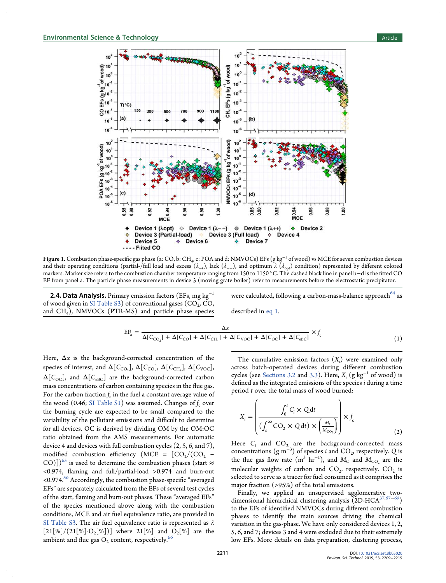

Figure 1. Combustion phase-specific gas phase (a: CO, b: CH4, c: POA and d: NMVOCs) EFs (g kg $^{-1}$  of wood) vs MCE for seven combustion devices and their operating conditions (partial-/full load and excess ( $\lambda_{++}$ ), lack ( $\lambda_{--}$ ), and optimum  $\lambda$  ( $\lambda_{opt}$ ) condition) represented by different colored markers. Marker size refers to the combustion chamber temperature ranging from 150 to 1150 °C. The dashed black line in panel b−d is the fitted CO EF from panel a. The particle phase measurements in device 3 (moving grate boiler) refer to measurements before the electrostatic precipitator.

**2.4. Data Analysis.** Primary emission factors (EFs, mg kg<sup>-1</sup> of wood given in SI Table S3) of conventional gases  $({\rm CO}_2, {\rm CO}_2$ and CH<sub>4</sub>), NMVOCs (PTR-MS) and particle phase species were calculated, following a carbon-mass-balance approach $^{64}$  as

described in eq 1.

$$
EF_x = \frac{\Delta x}{\Delta [C_{\text{CO}_2}] + \Delta [C_{\text{CO}}] + \Delta [C_{\text{CH}_4}] + \Delta [C_{\text{VOC}}] + \Delta [C_{\text{OC}}] + \Delta [C_{\text{eBC}}]} \times f_c
$$
\n(1)

Here,  $\Delta x$  is the background-corrected concentration of the species of interest, and  $\Delta$ [ $C_{\text{CO}_2}$ ],  $\Delta$ [ $C_{\text{CO}}$ ],  $\Delta$ [ $C_{\text{CH}_4}$ ],  $\Delta$ [ $C_{\text{VOC}}$ ],  $\Delta$ [ $C_{\text{OC}}$ ], and  $\Delta$ [ $C_{\text{eBC}}$ ] are the background-corrected carbon mass concentrations of carbon containing species in the flue gas. For the carbon fraction  $f_{\rm c}$  in the fuel a constant average value of the wood (0.46; SI Table S1) was assumed. Changes of  $f_c$  over the burning cycle are expected to be small compared to the variability of the pollutant emissions and difficult to determine for all devices. OC is derived by dividing OM by the OM:OC ratio obtained from the AMS measurements. For automatic device 4 and devices with full combustion cycles (2, 5, 6, and 7), modified combustion efficiency (MCE =  $[CO_2/(CO_2 +$ CO)])<sup>65</sup> is used to determine the combustion phases (start  $\approx$ <0.974, flaming and full/partial-load >0.974 and burn-out  $\leq$  0.974.<sup>36</sup> Accordingly, the combustion phase-specific "averaged" EFs" are separately calculated from the EFs of several test cycles of the start, flaming and burn-out phases. These "averaged EFs" of the species mentioned above along with the combustion conditions, MCE and air fuel equivalence ratio, are provided in SI Table S3. The air fuel equivalence ratio is represented as  $\lambda$  $[21[\%]/(21[\%]\text{-}O_2[\%])$ ] where  $21[\%]$  and  $[O_2[\%]$  are the ambient and flue gas  $O_2$  content, respectively.<sup>66</sup>

The cumulative emission factors (*Xi*) were examined only across batch-operated devices during different combustion cycles (see Sections 3.2 and 3.3). Here,  $X_i$  (g kg<sup>-1</sup> of wood) is defined as the integrated emissions of the species *i* during a time period *t* over the total mass of wood burned:

$$
X_{i} = \left(\frac{\int_{0}^{t} C_{i} \times Q dt}{\left(\int_{0}^{\infty} \text{CO}_{2} \times Q dt\right) \times \left(\frac{M_{c}}{M_{\text{CO}_{2}}}\right)}\right) \times f_{c}
$$
\n(2)

Here  $C_i$  and  $CO_2$  are the background-corrected mass concentrations  $(g m^{-3})$  of species *i* and CO<sub>2</sub>, respectively. *Q* is the flue gas flow rate  $(m^3 \text{ hr}^{-1})$ , and  $M_C$  and  $M_{CO_2}$  are the molecular weights of carbon and  $CO_2$ , respectively.  $CO_2$  is selected to serve as a tracer for fuel consumed as it comprises the major fraction (>95%) of the total emissions.

Finally, we applied an unsupervised agglomerative twodimensional hierarchical clustering analysis  $\widetilde{\mathrm{(2D\text{-}HCA}^{37,67-69})}}$ to the EFs of identified NMVOCs during different combustion phases to identify the main sources driving the chemical variation in the gas-phase. We have only considered devices 1, 2, 5, 6, and 7; devices 3 and 4 were excluded due to their extremely low EFs. More details on data preparation, clustering process,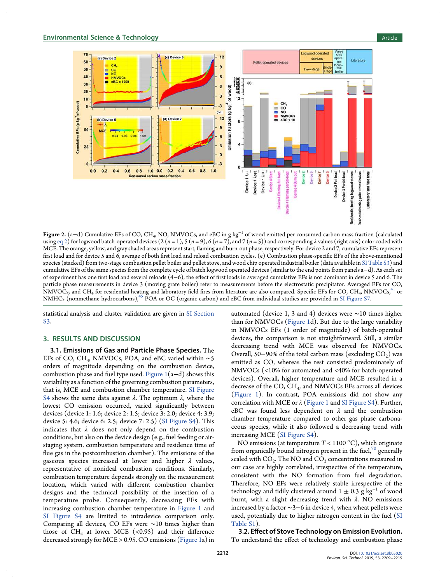

Figure 2. (a–d) Cumulative EFs of CO, CH<sub>4</sub>, NO, NMVOCs, and eBC in g kg<sup>−1</sup> of wood emitted per consumed carbon mass fraction (calculated using eq 2) for logwood batch-operated devices  $(2 (n = 1), 5 (n = 9), 6 (n = 7),$  and  $7 (n = 5)$ ) and corresponding  $\lambda$  values (right axis) color coded with MCE. The orange, yellow, and gray shaded areas represent start, flaming and burn-out phase, respectively. For device 2 and 7, cumulative EFs represent first load and for device 5 and 6, average of both first load and reload combustion cycles. (e) Combustion phase-specific EFs of the above-mentioned species (stacked) from two-stage combustion pellet boiler and pellet stove, and wood chip operated industrial boiler (data available in SI Table S3) and cumulative EFs of the same species from the complete cycle of batch logwood operated devices (similar to the end points from panels a−d). As each set of experiment has one first load and several reloads (4−6), the effect of first loads in averaged cumulative EFs is not dominant in device 5 and 6. The particle phase measurements in device 3 (moving grate boiler) refer to measurements before the electrostatic precipitator. Averaged EFs for CO,  $\rm NMVOCs$ , and  $\rm CH_4$  for residential heating and laboratory field fires from literature are also compared. Specific EFs for CO,  $\rm CH_4$ ,  $\rm NMVOCs,^{41}$  or NMHCs (nonmethane hydrocarbons),<sup>45</sup> POA or OC (organic carbon) and eBC from individual studies are provided in SI Figure S7.

statistical analysis and cluster validation are given in SI Section S3.

## 3. RESULTS AND DISCUSSION

3.1. Emissions of Gas and Particle Phase Species. The EFs of CO, CH<sub>4</sub>, NMVOCs, POA, and eBC varied within  $\sim$ 5 orders of magnitude depending on the combustion device, combustion phase and fuel type used. Figure 1(a−d) shows this variability as a function of the governing combustion parameters, that is, MCE and combustion chamber temperature. SI Figure S4 shows the same data against  $λ$ . The optimum  $λ$ , where the lowest CO emission occurred, varied significantly between devices (device 1: 1.6; device 2: 1.5; device 3: 2.0; device 4: 3.9; device 5: 4.6; device 6: 2.5; device 7: 2.5) (SI Figure S4). This indicates that  $\lambda$  does not only depend on the combustion conditions, but also on the device design (e.g., fuel feeding or airstaging system, combustion temperature and residence time of flue gas in the postcombustion chamber). The emissions of the gaseous species increased at lower and higher  $\lambda$  values, representative of nonideal combustion conditions. Similarly, combustion temperature depends strongly on the measurement location, which varied with different combustion chamber designs and the technical possibility of the insertion of a temperature probe. Consequently, decreasing EFs with increasing combustion chamber temperature in Figure 1 and SI Figure S4 are limited to intradevice comparison only. Comparing all devices, CO EFs were ∼10 times higher than those of  $CH_4$  at lower MCE (<0.95) and their difference decreased strongly for MCE > 0.95. CO emissions (Figure 1a) in

automated (device 1, 3 and 4) devices were ∼10 times higher than for NMVOCs (Figure 1d). But due to the large variability in NMVOCs EFs (1 order of magnitude) of batch-operated devices, the comparison is not straightforward. Still, a similar decreasing trend with MCE was observed for NMVOCs. Overall, 50–90% of the total carbon mass (excluding  $CO<sub>2</sub>$ ) was emitted as CO, whereas the rest consisted predominately of NMVOCs (<10% for automated and <40% for batch-operated devices). Overall, higher temperature and MCE resulted in a decrease of the CO, CH<sub>4</sub>, and NMVOCs EFs across all devices (Figure 1). In contrast, POA emissions did not show any correlation with MCE or  $\lambda$  (Figure 1 and SI Figure S4). Further, eBC was found less dependent on  $\lambda$  and the combustion chamber temperature compared to other gas phase carbonaceous species, while it also followed a decreasing trend with increasing MCE (SI Figure S4).

NO emissions (at temperature *T* < 1100 °C), which originate from organically bound nitrogen present in the fuel, $\frac{70}{9}$  generally scaled with  $CO_2$ . The NO and  $CO_2$  concentrations measured in our case are highly correlated, irrespective of the temperature, consistent with the NO formation from fuel degradation. Therefore, NO EFs were relatively stable irrespective of the technology and tidily clustered around  $1 \pm 0.3$  g kg<sup>-1</sup> of wood burnt, with a slight decreasing trend with  $\lambda$ . NO emissions increased by a factor ∼3−6 in device 4, when wheat pellets were used, potentially due to higher nitrogen content in the fuel (SI Table S1).

3.2. Effect of Stove Technology on Emission Evolution. To understand the effect of technology and combustion phase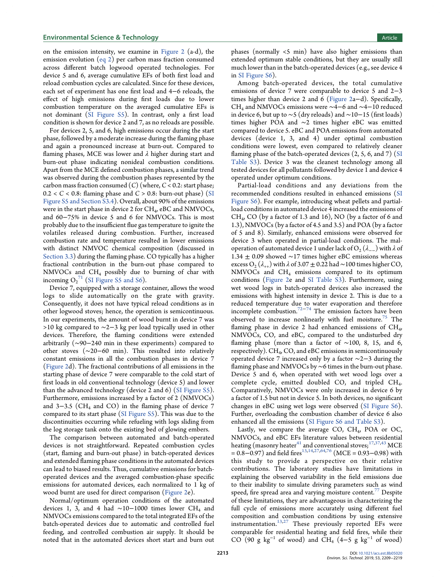on the emission intensity, we examine in Figure 2 (a-d), the emission evolution (eq 2) per carbon mass fraction consumed across different batch logwood operated technologies. For device 5 and 6, average cumulative EFs of both first load and reload combustion cycles are calculated. Since for these devices, each set of experiment has one first load and 4−6 reloads, the effect of high emissions during first loads due to lower combustion temperature on the averaged cumulative EFs is not dominant (SI Figure S5). In contrast, only a first load condition is shown for device 2 and 7, as no reloads are possible.

For devices 2, 5, and 6, high emissions occur during the start phase, followed by a moderate increase during the flaming phase and again a pronounced increase at burn-out. Compared to flaming phases, MCE was lower and  $\lambda$  higher during start and burn-out phase indicating nonideal combustion conditions. Apart from the MCE defined combustion phases, a similar trend was observed during the combustion phases represented by the carbon mass fraction consumed  $(C)$  (where,  $C < 0.2$ : start phase;  $0.2 < C < 0.8$ : flaming phase and  $C > 0.8$ : burn-out phase) (SI Figure S5 and Section S3.4). Overall, about 90% of the emissions were in the start phase in device 2 for  $\mathrm{CH}_4$ , eBC and NMVOCs, and 60−75% in device 5 and 6 for NMVOCs. This is most probably due to the insufficient flue gas temperature to ignite the volatiles released during combustion. Further, increased combustion rate and temperature resulted in lower emissions with distinct NMVOC chemical composition (discussed in Section 3.3) during the flaming phase. CO typically has a higher fractional contribution in the burn-out phase compared to NMVOCs and CH<sup>4</sup> possibly due to burning of char with incoming  $O_2^{\ 71}$  (SI Figure S5 and S6).

Device 7, equipped with a storage container, allows the wood logs to slide automatically on the grate with gravity. Consequently, it does not have typical reload conditions as in other logwood stoves; hence, the operation is semicontinuous. In our experiments, the amount of wood burnt in device 7 was >10 kg compared to ∼2−3 kg per load typically used in other devices. Therefore, the flaming conditions were extended arbitrarily (∼90−240 min in these experiments) compared to other stoves (∼20−60 min). This resulted into relatively constant emissions in all the combustion phases in device 7 (Figure 2d). The fractional contributions of all emissions in the starting phase of device 7 were comparable to the cold start of first loads in old conventional technology (device 5) and lower than the advanced technology (device 2 and 6) (SI Figure S5). Furthermore, emissions increased by a factor of 2 (NMVOCs) and  $3-3.5$  (CH<sub>4</sub> and CO) in the flaming phase of device 7 compared to its start phase (SI Figure S5). This was due to the discontinuities occurring while refueling with logs sliding from the log storage tank onto the existing bed of glowing embers.

The comparison between automated and batch-operated devices is not straightforward. Repeated combustion cycles (start, flaming and burn-out phase) in batch-operated devices and extended flaming phase conditions in the automated devices can lead to biased results. Thus, cumulative emissions for batchoperated devices and the averaged combustion-phase specific emissions for automated devices, each normalized to 1 kg of wood burnt are used for direct comparison (Figure 2e).

Normal/optimum operation conditions of the automated devices 1, 3, and 4 had ∼10−1000 times lower CH<sub>4</sub> and NMVOCs emissions compared to the total integrated EFs of the batch-operated devices due to automatic and controlled fuel feeding, and controlled combustion air supply. It should be noted that in the automated devices short start and burn out

phases (normally <5 min) have also higher emissions than extended optimum stable conditions, but they are usually still much lower than in the batch-operated devices (e.g., see device 4 in SI Figure S6).

Among batch-operated devices, the total cumulative emissions of device 7 were comparable to device 5 and 2−3 times higher than device 2 and 6 (Figure 2a−d). Specifically, CH<sup>4</sup> and NMVOCs emissions were ∼4−6 and ∼4−10 reduced in device 6, but up to ∼5 (dry reloads) and ∼10−15 (first loads) times higher POA and ∼2 times higher eBC was emitted compared to device 5. eBC and POA emissions from automated devices (device 1, 3, and 4) under optimal combustion conditions were lowest, even compared to relatively cleaner flaming phase of the batch-operated devices (2, 5, 6, and 7) (SI Table S3). Device 3 was the cleanest technology among all tested devices for all pollutants followed by device 1 and device 4 operated under optimum conditions.

Partial-load conditions and any deviations from the recommended conditions resulted in enhanced emissions (SI Figure S6). For example, introducing wheat pellets and partialload conditions in automated device 4 increased the emissions of CH<sup>4</sup> , CO (by a factor of 1.3 and 16), NO (by a factor of 6 and 1.3), NMVOCs (by a factor of 4.5 and 3.5) and POA (by a factor of 5 and 8). Similarly, enhanced emissions were observed for device 3 when operated in partial-load conditions. The maloperation of automated device 1 under lack of O<sub>2</sub> ( $\lambda$ <sub>−−</sub>) with  $\lambda$  of 1.34 ± 0.09 showed ∼17 times higher eBC emissions whereas excess O<sub>2</sub> ( $\lambda_{++}$ ) with  $\lambda$  of 3.07 ± 0.22 had ~100 times higher CO, NMVOCs and  $CH_4$  emissions compared to its optimum conditions (Figure 2e and SI Table S3). Furthermore, using wet wood logs in batch-operated devices also increased the emissions with highest intensity in device 2. This is due to a reduced temperature due to water evaporation and therefore incomplete combustion.72−<sup>74</sup> The emission factors have been observed to increase nonlinearly with fuel moisture.<sup>75</sup> The flaming phase in device 2 had enhanced emissions of  $CH_4$ , NMVOCs, CO, and eBC, compared to the undisturbed dry flaming phase (more than a factor of ∼100, 8, 15, and 6, respectively).  $\text{CH}_4$ , CO, and eBC emissions in semicontinuously operated device 7 increased only by a factor ∼2−3 during the flaming phase and NMVOCs by ∼6 times in the burn-out phase. Device 5 and 6, when operated with wet wood logs over a complete cycle, emitted doubled CO, and tripled CH<sub>4</sub>. Comparatively, NMVOCs were only increased in device 6 by a factor of 1.5 but not in device 5. In both devices, no significant changes in eBC using wet logs were observed (SI Figure S6). Further, overloading the combustion chamber of device 6 also enhanced all the emissions (SI Figure S6 and Table S3).

Lastly, we compare the average  $CO$ ,  $CH_4$ , POA or OC, NMVOCs, and eBC EFs literature values between residential heating (masonry heater $^{41}$  and conventional stoves; $^{17,37,43}$  MCE  $= 0.8 - 0.97$ ) and field fires<sup>13,14,27,64,76</sup> (MCE = 0.93–0.98) with this study to provide a perspective on their relative contributions. The laboratory studies have limitations in explaining the observed variability in the field emissions due to their inability to simulate driving parameters such as wind speed, fire spread area and varying moisture content.  $^{77}$  Despite of these limitations, they are advantageous in characterizing the full cycle of emissions more accurately using different fuel composition and combustion conditions by using extensive instrumentation.13,27 These previously reported EFs were comparable for residential heating and field fires, while their CO (90 g kg<sup>-1</sup> of wood) and  $\tilde{CH}_4$  (4–5 g kg<sup>-1</sup> of wood)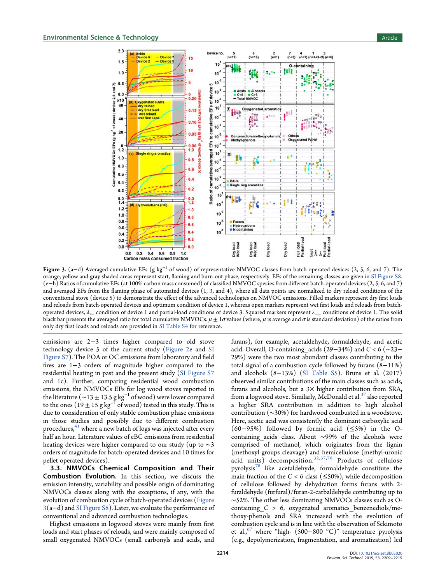

Figure 3. (a−d) Averaged cumulative EFs (g kg<sup>−1</sup> of wood) of representative NMVOC classes from batch-operated devices (2, 5, 6, and 7). The orange, yellow and gray shaded areas represent start, flaming and burn-out phase, respectively. EFs of the remaining classes are given in SI Figure S8. (e−h) Ratios of cumulative EFs (at 100% carbon mass consumed) of classified NMVOC species from different batch-operated devices (2, 5, 6, and 7) and averaged EFs from the flaming phase of automated devices (1, 3, and 4), where all data points are normalized to dry reload conditions of the conventional stove (device 5) to demonstrate the effect of the advanced technologies on NMVOC emissions. Filled markers represent dry first loads and reloads from batch-operated devices and optimum condition of device 1, whereas open markers represent wet first loads and reloads from batchoperated devices,  $\lambda_{++}$  condition of device 1 and partial-load conditions of device 3. Squared markers represent  $\lambda_{--}$  conditions of device 1. The solid black bar presents the averaged ratio for total cumulative NMVOCs.  $\mu \pm 1\sigma$  values (where,  $\mu$  is average and  $\sigma$  is standard deviation) of the ratios from only dry first loads and reloads are provided in SI Table S4 for reference.

emissions are 2−3 times higher compared to old stove technology device 5 of the current study (Figure 2e and SI Figure S7). The POA or OC emissions from laboratory and field fires are 1−3 orders of magnitude higher compared to the residential heating in past and the present study (SI Figure S7 and 1c). Further, comparing residential wood combustion emissions, the NMVOCs EFs for log wood stoves reported in the literature ( $\sim$ 13  $\pm$  13.5 g kg $^{-1}$  of wood) were lower compared to the ones (19  $\pm$  15 g kg $^{-1}$  of wood) tested in this study. This is due to consideration of only stable combustion phase emissions in those studies and possibly due to different combustion procedures, $41$  where a new batch of logs was injected after every half an hour. Literature values of eBC emissions from residential heating devices were higher compared to our study (up to  $\sim$ 3 orders of magnitude for batch-operated devices and 10 times for pellet operated devices).

3.3. NMVOCs Chemical Composition and Their Combustion Evolution. In this section, we discuss the emission intensity, variability and possible origin of dominating NMVOCs classes along with the exceptions, if any, with the evolution of combustion cycle of batch-operated devices (Figure 3(a−d) and SI Figure S8). Later, we evaluate the performance of conventional and advanced combustion technologies.

Highest emissions in logwood stoves were mainly from first loads and start phases of reloads, and were mainly composed of small oxygenated NMVOCs (small carbonyls and acids, and

furans), for example, acetaldehyde, formaldehyde, and acetic acid. Overall, O-containing\_acids (29−34%) and *C* <6(∼23− 29%) were the two most abundant classes contributing to the total signal of a combustion cycle followed by furans (8−11%) and alcohols (8−13%) (SI Table S5). Bruns et al. (2017) observed similar contributions of the main classes such as acids, furans and alcohols, but a 3× higher contribution from SRA, from a logwood stove. Similarly, McDonald et al. $37$  also reported a higher SRA contribution in addition to high alcohol contribution (∼30%) for hardwood combusted in a woodstove. Here, acetic acid was consistently the dominant carboxylic acid (60−95%) followed by formic acid (≤5%) in the Ocontaining\_acids class. About ∼99% of the alcohols were comprised of methanol, which originates from the lignin (methoxyl groups cleavage) and hemicellulose (methyl-uronic acid units) decomposition. $32,37,78$  Products of cellulose pyrolysis<sup>78</sup> like acetaldehyde, formaldehyde constitute the main fraction of the  $C < 6$  class ( $\leq 50\%$ ), while decomposition of cellulose followed by dehydration forms furans with 2 furaldehyde (furfural)/furan-2-carbaldehyde contributing up to ∼52%. The other less dominating NMVOCs classes such as Ocontaining\_*C* > 6, oxygenated aromatics\_benzenediols/methoxy-phenols and SRA increased with the evolution of combustion cycle and is in line with the observation of Sekimoto et al.,<sup>67</sup> where "high- (500-800 °C)" temperature pyrolysis (e.g., depolymerization, fragmentation, and aromatization) led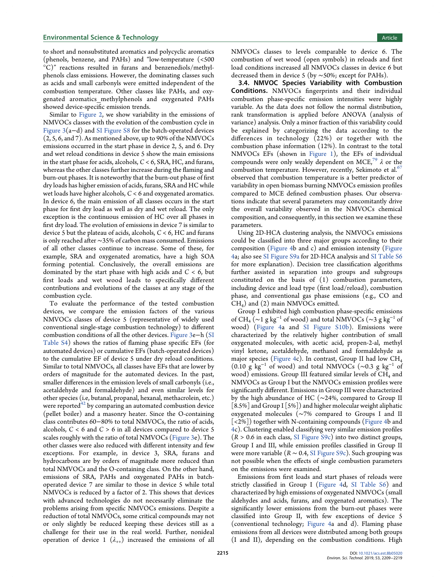to short and nonsubstituted aromatics and polycyclic aromatics (phenols, benzene, and PAHs) and "low-temperature (<500 °C)" reactions resulted in furans and benzenediols/methylphenols class emissions. However, the dominating classes such as acids and small carbonyls were emitted independent of the combustion temperature. Other classes like PAHs, and oxygenated aromatics\_methylphenols and oxygenated PAHs showed device-specific emission trends.

Similar to Figure 2, we show variability in the emissions of NMVOCs classes with the evolution of the combustion cycle in Figure 3(a−d) and SI Figure S8 for the batch-operated devices (2, 5, 6, and 7). As mentioned above, up to 90% of the NMVOCs emissions occurred in the start phase in device 2, 5, and 6. Dry and wet reload conditions in device 5 show the main emissions in the start phase for acids, alcohols, *C* < 6, SRA, HC, and furans, whereas the other classes further increase during the flaming and burn-out phases. It is noteworthy that the burn-out phase of first dry loads has higher emission of acids, furans, SRA and HC while wet loads have higher alcohols, *C* < 6 and oxygenated aromatics. In device 6, the main emission of all classes occurs in the start phase for first dry load as well as dry and wet reload. The only exception is the continuous emission of HC over all phases in first dry load. The evolution of emissions in device 7 is similar to device 5 but the plateau of acids, alcohols, *C* < 6, HC and furans is only reached after ∼35% of carbon mass consumed. Emissions of all other classes continue to increase. Some of these, for example, SRA and oxygenated aromatics, have a high SOA forming potential. Conclusively, the overall emissions are dominated by the start phase with high acids and *C* < 6, but first loads and wet wood leads to specifically different contributions and evolutions of the classes at any stage of the combustion cycle.

To evaluate the performance of the tested combustion devices, we compare the emission factors of the various NMVOCs classes of device 5 (representative of widely used conventional single-stage combustion technology) to different combustion conditions of all the other devices. Figure 3e−h (SI Table S4) shows the ratios of flaming phase specific EFs (for automated devices) or cumulative EFs (batch-operated devices) to the cumulative EF of device 5 under dry reload conditions. Similar to total NMVOCs, all classes have EFs that are lower by orders of magnitude for the automated devices. In the past, smaller differences in the emission levels of small carbonyls (i.e., acetaldehyde and formaldehyde) and even similar levels for other species (i.e, butanal, propanal, hexanal, methacrolein, etc.) were reported $42$  by comparing an automated combustion device (pellet boiler) and a masonry heater. Since the O-containing class contributes 60−80% to total NMVOCs, the ratio of acids, alcohols,  $C < 6$  and  $C > 6$  in all devices compared to device 5 scales roughly with the ratio of total NMVOCs (Figure 3e). The other classes were also reduced with different intensity and few exceptions. For example, in device 3, SRA, furans and hydrocarbons are by orders of magnitude more reduced than total NMVOCs and the O-containing class. On the other hand, emissions of SRA, PAHs and oxygenated PAHs in batchoperated device 7 are similar to those in device 5 while total NMVOCs is reduced by a factor of 2. This shows that devices with advanced technologies do not necessarily eliminate the problems arising from specific NMVOCs emissions. Despite a reduction of total NMVOCs, some critical compounds may not or only slightly be reduced keeping these devices still as a challenge for their use in the real world. Further, nonideal operation of device 1  $(\lambda_{++})$  increased the emissions of all

NMVOCs classes to levels comparable to device 6. The combustion of wet wood (open symbols) in reloads and first load conditions increased all NMVOCs classes in device 6 but decreased them in device 5 (by ∼50%; except for PAHs).

3.4. NMVOC Species Variability with Combustion Conditions. NMVOCs fingerprints and their individual combustion phase-specific emission intensities were highly variable. As the data does not follow the normal distribution, rank transformation is applied before ANOVA (analysis of variance) analysis. Only a minor fraction of this variability could be explained by categorizing the data according to the differences in technology (22%) or together with the combustion phase information (12%). In contrast to the total NMVOCs EFs (shown in Figure 1), the EFs of individual compounds were only weakly dependent on MCE,<sup>79</sup>  $\lambda$  or the combustion temperature. However, recently, Sekimoto et al. $67$ observed that combustion temperature is a better predictor of variability in open biomass burning NMVOCs emission profiles compared to MCE defined combustion phases. Our observations indicate that several parameters may concomitantly drive the overall variability observed in the NMVOCs chemical composition, and consequently, in this section we examine these parameters.

Using 2D-HCA clustering analysis, the NMVOCs emissions could be classified into three major groups according to their composition (Figure 4b and c) and emission intensity (Figure 4a; also see SI Figure S9a for 2D-HCA analysis and SI Table S6 for more explanation). Decision tree classification algorithms further assisted in separation into groups and subgroups constituted on the basis of (1) combustion parameters, including device and load type (first load/reload), combustion phase, and conventional gas phase emissions (e.g., CO and  $CH<sub>4</sub>$ ) and (2) main NMVOCs emitted.

Group I exhibited high combustion phase-specific emissions of CH<sub>4</sub> (~1 g kg<sup>-1</sup> of wood) and total NMVOCs (~3 g kg<sup>-1</sup> of wood) (Figure 4a and SI Figure S10b). Emissions were characterized by the relatively higher contribution of small oxygenated molecules, with acetic acid, propen-2-al, methyl vinyl ketone, acetaldehyde, methanol and formaldehyde as major species (Figure 4c). In contrast, Group II had low  $CH<sub>4</sub>$ (0.10 g kg<sup>-1</sup> of wood) and total NMVOCs (~0.3 g kg<sup>-1</sup> of wood) emissions. Group III featured similar levels of  $CH<sub>4</sub>$  and NMVOCs as Group I but the NMVOCs emission profiles were significantly different. Emissions in Group III were characterized by the high abundance of HC (∼24%, compared to Group II [8.5%] and Group I [5%]) and higher molecular weight aliphatic oxygenated molecules (∼7% compared to Groups I and II [<2%]) together with N-containing compounds (Figure 4b and 4c). Clustering enabled classifying very similar emission profiles  $(R > 0.6$  in each class, SI Figure S9c) into two distinct groups, Group I and III, while emission profiles classified in Group II were more variable (*R* ∼ 0.4, SI Figure S9c). Such grouping was not possible when the effects of single combustion parameters on the emissions were examined.

Emissions from first loads and start phases of reloads were strictly classified in Group I (Figure 4d, SI Table S6) and characterized by high emissions of oxygenated NMVOCs (small aldehydes and acids, furans, and oxygenated aromatics). The significantly lower emissions from the burn-out phases were classified into Group II, with few exceptions of device 5 (conventional technology; Figure 4a and d). Flaming phase emissions from all devices were distributed among both groups (I and II), depending on the combustion conditions. High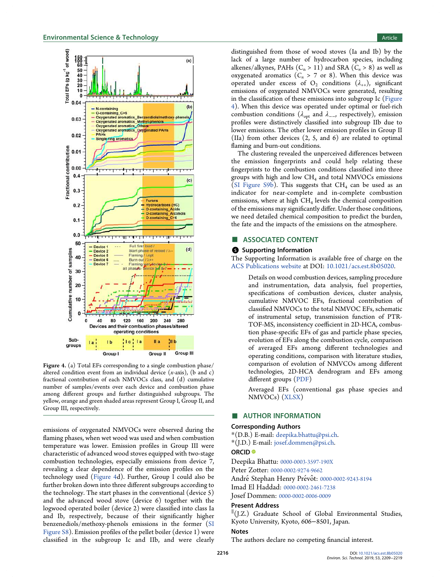

Figure 4. (a) Total EFs corresponding to a single combustion phase/ altered condition event from an individual device (*x*-axis), (b and c) fractional contribution of each NMVOCs class, and (d) cumulative number of samples/events over each device and combustion phase among different groups and further distinguished subgroups. The yellow, orange and green shaded areas represent Group I, Group II, and Group III, respectively.

emissions of oxygenated NMVOCs were observed during the flaming phases, when wet wood was used and when combustion temperature was lower. Emission profiles in Group III were characteristic of advanced wood stoves equipped with two-stage combustion technologies, especially emissions from device 7, revealing a clear dependence of the emission profiles on the technology used (Figure 4d). Further, Group I could also be further broken down into three different subgroups according to the technology. The start phases in the conventional (device 5) and the advanced wood stove (device 6) together with the logwood operated boiler (device 2) were classified into class Ia and Ib, respectively, because of their significantly higher benzenediols/methoxy-phenols emissions in the former (SI Figure S8). Emission profiles of the pellet boiler (device 1) were classified in the subgroup Ic and IIb, and were clearly

distinguished from those of wood stoves (Ia and Ib) by the lack of a large number of hydrocarbon species, including alkenes/alkynes, PAHs  $(C_n > 11)$  and SRA  $(C_n > 8)$  as well as oxygenated aromatics  $(C_n > 7 \text{ or } 8)$ . When this device was operated under excess of  $O_2$  conditions  $(\lambda_{++})$ , significant emissions of oxygenated NMVOCs were generated, resulting in the classification of these emissions into subgroup Ic (Figure 4). When this device was operated under optimal or fuel-rich combustion conditions ( $\lambda_{opt}$  and  $\lambda_{--}$ , respectively), emission profiles were distinctively classified into subgroup IIb due to lower emissions. The other lower emission profiles in Group II (IIa) from other devices (2, 5, and 6) are related to optimal flaming and burn-out conditions.

The clustering revealed the unperceived differences between the emission fingerprints and could help relating these fingerprints to the combustion conditions classified into three groups with high and low  $CH<sub>4</sub>$  and total NMVOCs emissions (SI Figure S9b). This suggests that  $CH_4$  can be used as an indicator for near-complete and in-complete combustion emissions, where at high CH<sub>4</sub> levels the chemical composition of the emissions may significantly differ. Under those conditions, we need detailed chemical composition to predict the burden, the fate and the impacts of the emissions on the atmosphere.

# ■ ASSOCIATED CONTENT

#### **S** Supporting Information

The Supporting Information is available free of charge on the ACS Publications website at DOI: 10.1021/acs.est.8b05020.

> Details on wood combustion devices, sampling procedure and instrumentation, data analysis, fuel properties, specifications of combustion devices, cluster analysis, cumulative NMVOC EFs, fractional contribution of classified NMVOCs to the total NMVOC EFs, schematic of instrumental setup, transmission function of PTR-TOF-MS, inconsistency coefficient in 2D-HCA, combustion phase-specific EFs of gas and particle phase species, evolution of EFs along the combustion cycle, comparison of averaged EFs among different technologies and operating conditions, comparison with literature studies, comparison of evolution of NMVCOs among different technologies, 2D-HCA dendrogram and EFs among different groups (PDF)

> Averaged EFs (conventional gas phase species and NMVOCs) (XLSX)

## ■ AUTHOR INFORMATION

## Corresponding Authors

\*(D.B.) E-mail: deepika.bhattu@psi.ch.

\*(J.D.) E-mail: josef.dommen@psi.ch.

#### ORCID<sup>®</sup>

Deepika Bhattu: 0000-0003-3597-190X

Peter Zotter: 0000-0002-9274-9662

André Stephan Henry Prévôt: 0000-0002-9243-8194

Imad El Haddad: 0000-0002-2461-7238

Josef Dommen: 0000-0002-0006-0009

#### Present Address

∥ (J.Z.) Graduate School of Global Environmental Studies, Kyoto University, Kyoto, 606−8501, Japan.

#### Notes

The authors declare no competing financial interest.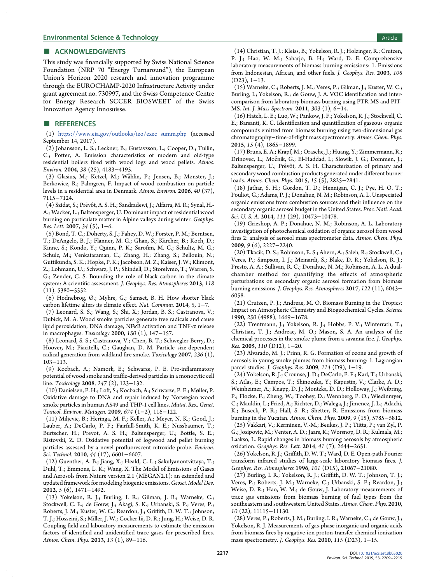#### ■ ACKNOWLEDGMENTS

This study was financially supported by Swiss National Science Foundation (NRP 70 "Energy Turnaround"), the European Union's Horizon 2020 research and innovation programme through the EUROCHAMP-2020 Infrastructure Activity under grant agreement no. 730997, and the Swiss Competence Centre for Energy Research SCCER BIOSWEET of the Swiss Innovation Agency Innosuisse.

#### ■ REFERENCES

(1) https://www.eia.gov/outlooks/ieo/exec\_summ.php (accessed September 14, 2017).

(2) Johansson, L. S.; Leckner, B.; Gustavsson, L.; Cooper, D.; Tullin, C.; Potter, A. Emission characteristics of modern and old-type residential boilers fired with wood logs and wood pellets. *Atmos. Environ.* 2004, *38* (25), 4183−4195.

(3) Glasius, M.; Ketzel, M.; Wahlin, P.; Jensen, B.; Mønster, J.; ̊ Berkowicz, R.; Palmgren, F. Impact of wood combustion on particle levels in a residential area in Denmark. *Atmos. Environ.* 2006, *40* (37), 7115−7124.

(4) Szidat, S.; Prévôt, A. S. H.; Sandradewi, J.; Alfarra, M. R.; Synal, H.-A.; Wacker, L.; Baltensperger, U. Dominant impact of residential wood burning on particulate matter in Alpine valleys during winter. *Geophys. Res. Lett.* 2007, *34* (5), 1−6.

(5) Bond, T. C.; Doherty, S. J.; Fahey, D. W.; Forster, P. M.; Berntsen, T.; DeAngelo, B. J.; Flanner, M. G.; Ghan, S.; Kärcher, B.; Koch, D.; Kinne, S.; Kondo, Y.; Quinn, P. K.; Sarofim, M. C.; Schultz, M. G.; Schulz, M.; Venkataraman, C.; Zhang, H.; Zhang, S.; Bellouin, N.; Guttikunda, S. K.; Hopke, P. K.; Jacobson, M. Z.; Kaiser, J. W.; Klimont, Z.; Lohmann, U.; Schwarz, J. P.; Shindell, D.; Storelvmo, T.; Warren, S. G.; Zender, C. S. Bounding the role of black carbon in the climate system: A scientific assessment. *J. Geophys. Res. Atmospheres* 2013, *118* (11), 5380−5552.

(6) Hodnebrog, Ø.; Myhre, G.; Samset, B. H. How shorter black carbon lifetime alters its climate effect. *Nat. Commun.* 2014, *5*, 1−7.

(7) Leonard, S. S.; Wang, S.; Shi, X.; Jordan, B. S.; Castranova, V.; Dubick, M. A. Wood smoke particles generate free radicals and cause lipid peroxidation, DNA damage, NFKB activation and TNF- $\alpha$  release in macrophages. *Toxicology* 2000, *150* (1), 147−157.

(8) Leonard, S. S.; Castranova, V.; Chen, B. T.; Schwegler-Berry, D.; Hoover, M.; Piacitelli, C.; Gaughan, D. M. Particle size-dependent radical generation from wildland fire smoke. *Toxicology* 2007, *236* (1), 103−113.

(9) Kocbach, A.; Namork, E.; Schwarze, P. E. Pro-inflammatory potential of wood smoke and traffic-derived particles in a monocytic cell line. *Toxicology* 2008, *247* (2), 123−132.

(10) Danielsen, P. H.; Loft, S.; Kocbach, A.; Schwarze, P. E.; Møller, P. Oxidative damage to DNA and repair induced by Norwegian wood smoke particles in human A549 and THP-1 cell lines. *Mutat. Res., Genet. Toxicol. Environ. Mutagen.* 2009, *674* (1−2), 116−122.

(11) Miljevic, B.; Heringa, M. F.; Keller, A.; Meyer, N. K.; Good, J.; Lauber, A.; DeCarlo, P. F.; Fairfull-Smith, K. E.; Nussbaumer, T.; Burtscher, H.; Prevot, A. S. H.; Baltensperger, U.; Bottle, S. E.; Ristovski, Z. D. Oxidative potential of logwood and pellet burning particles assessed by a novel profluorescent nitroxide probe. *Environ. Sci. Technol.* 2010, *44* (17), 6601−6607.

(12) Guenther, A. B.; Jiang, X.; Heald, C. L.; Sakulyanontvittaya, T.; Duhl, T.; Emmons, L. K.; Wang, X. The Model of Emissions of Gases and Aerosols from Nature version 2.1 (MEGAN2.1): an extended and updated framework for modeling biogenic emissions. *Geosci. Model Dev.* 2012, *5* (6), 1471−1492.

(13) Yokelson, R. J.; Burling, I. R.; Gilman, J. B.; Warneke, C.; Stockwell, C. E.; de Gouw, J.; Akagi, S. K.; Urbanski, S. P.; Veres, P.; Roberts, J. M.; Kuster, W. C.; Reardon, J.; Griffith, D. W. T.; Johnson, T. J.; Hosseini, S.; Miller, J. W.; Cocker Iii, D. R.; Jung, H.; Weise, D. R. Coupling field and laboratory measurements to estimate the emission factors of identified and unidentified trace gases for prescribed fires. *Atmos. Chem. Phys.* 2013, *13* (1), 89−116.

(14) Christian, T. J.; Kleiss, B.; Yokelson, R. J.; Holzinger, R.; Crutzen, P. J.; Hao, W. M.; Saharjo, B. H.; Ward, D. E. Comprehensive laboratory measurements of biomass-burning emissions: 1. Emissions from Indonesian, African, and other fuels. *J. Geophys. Res.* 2003, *108* (D23), 1−13.

(15) Warneke, C.; Roberts, J. M.; Veres, P.; Gilman, J.; Kuster, W. C.; Burling, I.; Yokelson, R.; de Gouw, J. A. VOC identification and intercomparison from laboratory biomass burning using PTR-MS and PIT-MS. *Int. J. Mass Spectrom.* 2011, *303* (1), 6−14.

(16) Hatch, L. E.; Luo, W.; Pankow, J. F.; Yokelson, R. J.; Stockwell, C. E.; Barsanti, K. C. Identification and quantification of gaseous organic compounds emitted from biomass burning using two-dimensional gas chromatography−time-of-flight mass spectrometry. *Atmos. Chem. Phys.* 2015, *15* (4), 1865−1899.

(17) Bruns, E. A.; Krapf, M.; Orasche, J.; Huang, Y.; Zimmermann, R.; Drinovec, L.; Močnik, G.; El-Haddad, I.; Slowik, J. G.; Dommen, J.; Baltensperger, U.; Prévôt, A. S. H. Characterization of primary and secondary wood combustion products generated under different burner loads. *Atmos. Chem. Phys.* 2015, *15* (5), 2825−2841.

(18) Jathar, S. H.; Gordon, T. D.; Hennigan, C. J.; Pye, H. O. T.; Pouliot, G.; Adams, P. J.; Donahue, N. M.; Robinson, A. L. Unspeciated organic emissions from combustion sources and their influence on the secondary organic aerosol budget in the United States. *Proc. Natl. Acad. Sci. U. S. A.* 2014, *111* (29), 10473−10478.

(19) Grieshop, A. P.; Donahue, N. M.; Robinson, A. L. Laboratory investigation of photochemical oxidation of organic aerosol from wood fires 2: analysis of aerosol mass spectrometer data. *Atmos. Chem. Phys.* 2009, *9* (6), 2227−2240.

(20) Tkacik, D. S.; Robinson, E. S.; Ahern, A.; Saleh, R.; Stockwell, C.; Veres, P.; Simpson, I. J.; Meinardi, S.; Blake, D. R.; Yokelson, R. J.; Presto, A. A.; Sullivan, R. C.; Donahue, N. M.; Robinson, A. L. A dualchamber method for quantifying the effects of atmospheric perturbations on secondary organic aerosol formation from biomass burning emissions. *J. Geophys. Res. Atmospheres* 2017, *122* (11), 6043− 6058.

(21) Crutzen, P. J.; Andreae, M. O. Biomass Burning in the Tropics: Impact on Atmospheric Chemistry and Biogeochemical Cycles. *Science* 1990, *250* (4988), 1669−1678.

(22) Trentmann, J.; Yokelson, R. J.; Hobbs, P. V.; Winterrath, T.; Christian, T. J.; Andreae, M. O.; Mason, S. A. An analysis of the chemical processes in the smoke plume from a savanna fire. *J. Geophys. Res.* 2005, *110* (D12), 1−20.

(23) Alvarado, M. J.; Prinn, R. G. Formation of ozone and growth of aerosols in young smoke plumes from biomass burning: 1. Lagrangian parcel studies. *J. Geophys. Res.* 2009, *114* (D9), 1−19.

(24) Yokelson, R. J.; Crounse, J. D.; DeCarlo, P. F.; Karl, T.; Urbanski, S.; Atlas, E.; Campos, T.; Shinozuka, Y.; Kapustin, V.; Clarke, A. D.; Weinheimer, A.; Knapp, D. J.; Montzka, D. D.; Holloway, J.; Weibring, P.; Flocke, F.; Zheng, W.; Toohey, D.; Wennberg, P. O.; Wiedinmyer, C.; Mauldin, L.; Fried, A.; Richter, D.; Walega, J.; Jimenez, J. L.; Adachi, K.; Buseck, P. R.; Hall, S. R.; Shetter, R. Emissions from biomass burning in the Yucatan. *Atmos. Chem. Phys.* 2009, *9* (15), 5785−5812.

(25) Vakkari, V.; Kerminen, V.-M.; Beukes, J. P.; Tiitta, P.; van Zyl, P. G.; Josipovic, M.; Venter, A. D.; Jaars, K.; Worsnop, D. R.; Kulmala, M.; Laakso, L. Rapid changes in biomass burning aerosols by atmospheric oxidation. *Geophys. Res. Lett.* 2014, *41* (7), 2644−2651.

(26) Yokelson, R. J.; Griffith, D. W. T.; Ward, D. E. Open-path Fourier transform infrared studies of large-scale laboratory biomass fires. *J. Geophys. Res. Atmospheres* 1996, *101* (D15), 21067−21080.

(27) Burling, I. R.; Yokelson, R. J.; Griffith, D. W. T.; Johnson, T. J.; Veres, P.; Roberts, J. M.; Warneke, C.; Urbanski, S. P.; Reardon, J.; Weise, D. R.; Hao, W. M.; de Gouw, J. Laboratory measurements of trace gas emissions from biomass burning of fuel types from the southeastern and southwestern United States. *Atmos. Chem. Phys.* 2010, *10* (22), 11115−11130.

(28) Veres, P.; Roberts, J. M.; Burling, I. R.; Warneke, C.; de Gouw, J.; Yokelson, R. J. Measurements of gas-phase inorganic and organic acids from biomass fires by negative-ion proton-transfer chemical-ionization mass spectrometry. *J. Geophys. Res.* 2010, *115* (D23), 1−15.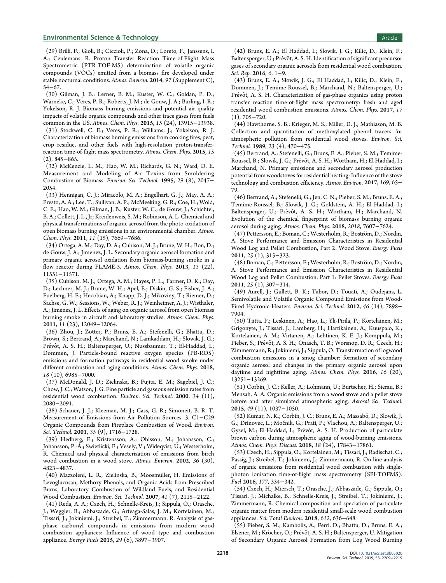#### **Environmental Science & Technology Article** Article 30 and 30 and 30 and 30 and 30 and 30 and 30 and 30 and 30 and 30 and 30 and 30 and 30 and 30 and 30 and 30 and 30 and 30 and 30 and 30 and 30 and 30 and 30 and 30 and 3

(29) Brilli, F.; Gioli, B.; Ciccioli, P.; Zona, D.; Loreto, F.; Janssens, I. A.; Ceulemans, R. Proton Transfer Reaction Time-of-Flight Mass Spectrometric (PTR-TOF-MS) determination of volatile organic compounds (VOCs) emitted from a biomass fire developed under stable nocturnal conditions. *Atmos. Environ.* 2014, *97* (Supplement C), 54−67.

(30) Gilman, J. B.; Lerner, B. M.; Kuster, W. C.; Goldan, P. D.; Warneke, C.; Veres, P. R.; Roberts, J. M.; de Gouw, J. A.; Burling, I. R.; Yokelson, R. J. Biomass burning emissions and potential air quality impacts of volatile organic compounds and other trace gases from fuels common in the US. *Atmos. Chem. Phys.* 2015, *15* (24), 13915−13938.

(31) Stockwell, C. E.; Veres, P. R.; Williams, J.; Yokelson, R. J. Characterization of biomass burning emissions from cooking fires, peat, crop residue, and other fuels with high-resolution proton-transferreaction time-of-flight mass spectrometry. *Atmos. Chem. Phys.* 2015, *15* (2), 845−865.

(32) McKenzie, L. M.; Hao, W. M.; Richards, G. N.; Ward, D. E. Measurement and Modeling of Air Toxins from Smoldering Combustion of Biomass. *Environ. Sci. Technol.* 1995, *29* (8), 2047− 2054.

(33) Hennigan, C. J.; Miracolo, M. A.; Engelhart, G. J.; May, A. A.; Presto, A. A.; Lee, T.; Sullivan, A. P.; McMeeking, G. R.; Coe, H.; Wold, C. E.; Hao, W. M.; Gilman, J. B.; Kuster, W. C.; de Gouw, J.; Schichtel, B. A.; Collett, J. L., Jr; Kreidenweis, S. M.; Robinson, A. L. Chemical and physical transformations of organic aerosol from the photo-oxidation of open biomass burning emissions in an environmental chamber. *Atmos. Chem. Phys.* 2011, *11* (15), 7669−7686.

(34) Ortega, A. M.; Day, D. A.; Cubison, M. J.; Brune, W. H.; Bon, D.; de Gouw, J. A.; Jimenez, J. L. Secondary organic aerosol formation and primary organic aerosol oxidation from biomass-burning smoke in a flow reactor during FLAME-3. *Atmos. Chem. Phys.* 2013, *13* (22), 11551−11571.

(35) Cubison, M. J.; Ortega, A. M.; Hayes, P. L.; Farmer, D. K.; Day, D.; Lechner, M. J.; Brune, W. H.; Apel, E.; Diskin, G. S.; Fisher, J. A.; Fuelberg, H. E.; Hecobian, A.; Knapp, D. J.; Mikoviny, T.; Riemer, D.; Sachse, G. W.; Sessions, W.; Weber, R. J.; Weinheimer, A. J.; Wisthaler, A.; Jimenez, J. L. Effects of aging on organic aerosol from open biomass burning smoke in aircraft and laboratory studies. *Atmos. Chem. Phys.* 2011, *11* (23), 12049−12064.

(36) Zhou, J.; Zotter, P.; Bruns, E. A.; Stefenelli, G.; Bhattu, D.; Brown, S.; Bertrand, A.; Marchand, N.; Lamkaddam, H.; Slowik, J. G.; Prévôt, A. S. H.; Baltensperger, U.; Nussbaumer, T.; El-Haddad, I.; Dommen, J. Particle-bound reactive oxygen species (PB-ROS) emissions and formation pathways in residential wood smoke under different combustion and aging conditions. *Atmos. Chem. Phys.* 2018, *18* (10), 6985−7000.

(37) McDonald, J. D.; Zielinska, B.; Fujita, E. M.; Sagebiel, J. C.; Chow, J. C.; Watson, J. G. Fine particle and gaseous emission rates from residential wood combustion. *Environ. Sci. Technol.* 2000, *34* (11), 2080−2091.

(38) Schauer, J. J.; Kleeman, M. J.; Cass, G. R.; Simoneit, B. R. T. Measurement of Emissions from Air Pollution Sources. 3. C1−C29 Organic Compounds from Fireplace Combustion of Wood. *Environ. Sci. Technol.* 2001, *35* (9), 1716−1728.

(39) Hedberg, E.; Kristensson, A.; Ohlsson, M.; Johansson, C.; Johansson, P.-Å.; Swietlicki, E.; Vesely, V.; Wideqvist, U.; Westerholm, R. Chemical and physical characterization of emissions from birch wood combustion in a wood stove. *Atmos. Environ.* 2002, *36* (30), 4823−4837.

(40) Mazzoleni, L. R.; Zielinska, B.; Moosmüller, H. Emissions of Levoglucosan, Methoxy Phenols, and Organic Acids from Prescribed Burns, Laboratory Combustion of Wildland Fuels, and Residential Wood Combustion. *Environ. Sci. Technol.* 2007, *41* (7), 2115−2122.

(41) Reda, A. A.; Czech, H.; Schnelle-Kreis, J.; Sippula, O.; Orasche, J.; Weggler, B.; Abbaszade, G.; Arteaga-Salas, J. M.; Kortelainen, M.; Tissari, J.; Jokiniemi, J.; Streibel, T.; Zimmermann, R. Analysis of gasphase carbonyl compounds in emissions from modern wood combustion appliances: Influence of wood type and combustion appliance. *Energy Fuels* 2015, *29* (6), 3897−3907.

(42) Bruns, E. A.; El Haddad, I.; Slowik, J. G.; Kilic, D.; Klein, F.; Baltensperger, U.; Prévôt, A. S. H. Identification of significant precursor gases of secondary organic aerosols from residential wood combustion. *Sci. Rep.* 2016, *6*, 1−9.

(43) Bruns, E. A.; Slowik, J. G.; El Haddad, I.; Kilic, D.; Klein, F.; Dommen, J.; Temime-Roussel, B.; Marchand, N.; Baltensperger, U.; Prévôt, A. S. H. Characterization of gas-phase organics using proton transfer reaction time-of-flight mass spectrometry: fresh and aged residential wood combustion emissions. *Atmos. Chem. Phys.* 2017, *17* (1), 705−720.

(44) Hawthorne, S. B.; Krieger, M. S.; Miller, D. J.; Mathiason, M. B. Collection and quantitation of methoxylated phenol tracers for atmospheric pollution from residential wood stoves. *Environ. Sci. Technol.* 1989, *23* (4), 470−475.

(45) Bertrand, A.; Stefenelli, G.; Bruns, E. A.; Pieber, S. M.; Temime-Roussel, B.; Slowik, J. G.; Prévôt, A. S. H.; Wortham, H.; El Haddad, I.; Marchand, N. Primary emissions and secondary aerosol production potential from woodstoves for residential heating: Influence of the stove technology and combustion efficiency. *Atmos. Environ.* 2017, *169*, 65− 79.

(46) Bertrand, A.; Stefenelli, G.; Jen, C. N.; Pieber, S. M.; Bruns, E. A.; Temime-Roussel, B.; Slowik, J. G.; Goldstein, A. H.; El Haddad, I.; Baltensperger, U.; Prévôt, A. S. H.; Wortham, H.; Marchand, N. Evolution of the chemical fingerprint of biomass burning organic aerosol during aging. *Atmos. Chem. Phys.* 2018, *2018*, 7607−7624.

(47) Pettersson, E.; Boman, C.; Westerholm, R.; Boström, D.; Nordin, A. Stove Performance and Emission Characteristics in Residential Wood Log and Pellet Combustion, Part 2: Wood Stove. *Energy Fuels* 2011, *25* (1), 315−323.

(48) Boman, C.; Pettersson, E.; Westerholm, R.; Boström, D.; Nordin, A. Stove Performance and Emission Characteristics in Residential Wood Log and Pellet Combustion, Part 1: Pellet Stoves. *Energy Fuels* 2011, *25* (1), 307−314.

(49) Aurell, J.; Gullett, B. K.; Tabor, D.; Touati, A.; Oudejans, L. Semivolatile and Volatile Organic Compound Emissions from Wood-Fired Hydronic Heaters. *Environ. Sci. Technol.* 2012, *46* (14), 7898− 7904.

(50) Tiitta, P.; Leskinen, A.; Hao, L.; Yli-Pirila, P.; Kortelainen, M.; ̈ Grigonyte, J.; Tissari, J.; Lamberg, H.; Hartikainen, A.; Kuuspalo, K.; Kortelainen, A. M.; Virtanen, A.; Lehtinen, K. E. J.; Komppula, M.; Pieber, S.; Prévôt, A. S. H.; Onasch, T. B.; Worsnop, D. R.; Czech, H.; Zimmermann, R.; Jokiniemi, J.; Sippula, O. Transformation of logwood combustion emissions in a smog chamber: formation of secondary organic aerosol and changes in the primary organic aerosol upon daytime and nighttime aging. *Atmos. Chem. Phys.* 2016, *16* (20), 13251−13269.

(51) Corbin, J. C.; Keller, A.; Lohmann, U.; Burtscher, H.; Sierau, B.; Mensah, A. A. Organic emissions from a wood stove and a pellet stove before and after simulated atmospheric aging. *Aerosol Sci. Technol.* 2015, *49* (11), 1037−1050.

(52) Kumar, N. K.; Corbin, J. C.; Bruns, E. A.; Massabó, D.; Slowik, J. G.; Drinovec, L.; Močnik, G.; Prati, P.; Vlachou, A.; Baltensperger, U.; Gysel, M.; El-Haddad, I.; Prévôt, A. S. H. Production of particulate brown carbon during atmospheric aging of wood-burning emissions. *Atmos. Chem. Phys. Discuss.* 2018, *18* (24), 17843−17861.

(53) Czech, H.; Sippula, O.; Kortelainen, M.; Tissari, J.; Radischat, C.; Passig, J.; Streibel, T.; Jokiniemi, J.; Zimmermann, R. On-line analysis of organic emissions from residential wood combustion with singlephoton ionisation time-of-flight mass spectrometry (SPI-TOFMS). *Fuel* 2016, *177*, 334−342.

(54) Czech, H.; Miersch, T.; Orasche, J.; Abbaszade, G.; Sippula, O.; Tissari, J.; Michalke, B.; Schnelle-Kreis, J.; Streibel, T.; Jokiniemi, J.; Zimmermann, R. Chemical composition and speciation of particulate organic matter from modern residential small-scale wood combustion appliances. *Sci. Total Environ.* 2018, *612*, 636−648.

(55) Pieber, S. M.; Kambolis, A.; Ferri, D.; Bhattu, D.; Bruns, E. A.; Elsener, M.; Kröcher, O.; Prévôt, A. S. H.; Baltensperger, U. Mitigation of Secondary Organic Aerosol Formation from Log Wood Burning